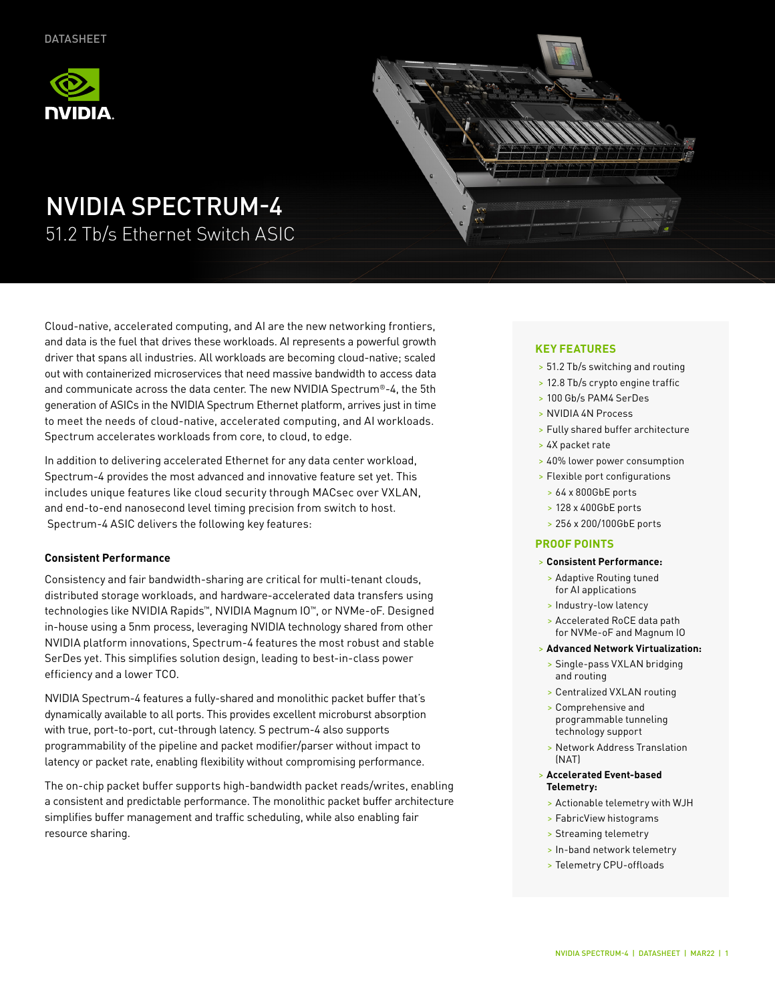



# NVIDIA SPECTRUM-4

51.2 Tb/s Ethernet Switch ASIC

Cloud-native, accelerated computing, and AI are the new networking frontiers, and data is the fuel that drives these workloads. AI represents a powerful growth driver that spans all industries. All workloads are becoming cloud-native; scaled out with containerized microservices that need massive bandwidth to access data and communicate across the data center. The new NVIDIA Spectrum®-4, the 5th generation of ASICs in the NVIDIA Spectrum Ethernet platform, arrives just in time to meet the needs of cloud-native, accelerated computing, and AI workloads. Spectrum accelerates workloads from core, to cloud, to edge.

In addition to delivering accelerated Ethernet for any data center workload, Spectrum-4 provides the most advanced and innovative feature set yet. This includes unique features like cloud security through MACsec over VXLAN, and end-to-end nanosecond level timing precision from switch to host. Spectrum-4 ASIC delivers the following key features:

#### **Consistent Performance**

Consistency and fair bandwidth-sharing are critical for multi-tenant clouds, distributed storage workloads, and hardware-accelerated data transfers using technologies like NVIDIA Rapids™, NVIDIA Magnum IO™, or NVMe-oF. Designed in-house using a 5nm process, leveraging NVIDIA technology shared from other NVIDIA platform innovations, Spectrum-4 features the most robust and stable SerDes yet. This simplifies solution design, leading to best-in-class power efficiency and a lower TCO.

NVIDIA Spectrum-4 features a fully-shared and monolithic packet buffer that's dynamically available to all ports. This provides excellent microburst absorption with true, port-to-port, cut-through latency. S pectrum-4 also supports programmability of the pipeline and packet modifier/parser without impact to latency or packet rate, enabling flexibility without compromising performance.

The on-chip packet buffer supports high-bandwidth packet reads/writes, enabling a consistent and predictable performance. The monolithic packet buffer architecture simplifies buffer management and traffic scheduling, while also enabling fair resource sharing.

## **KEY FEATURES**

- > 51.2 Tb/s switching and routing
- > 12.8 Tb/s crypto engine traffic
- > 100 Gb/s PAM4 SerDes
- > NVIDIA 4N Process
- > Fully shared buffer architecture
- > 4X packet rate
- > 40% lower power consumption
- > Flexible port configurations
	- > 64 x 800GbE ports
	- > 128 x 400GbE ports
	- > 256 x 200/100GbE ports

#### **PROOF POINTS**

#### > **Consistent Performance:**

- > Adaptive Routing tuned for AI applications
- > Industry-low latency
- > Accelerated RoCE data path for NVMe-oF and Magnum IO

#### > **Advanced Network Virtualization:**

- > Single-pass VXLAN bridging and routing
- > Centralized VXLAN routing
- > Comprehensive and programmable tunneling technology support
- > Network Address Translation (NAT)
- > **Accelerated Event-based Telemetry:**
- > Actionable telemetry with WJH
- > FabricView histograms
- > Streaming telemetry
- > In-band network telemetry
- > Telemetry CPU-offloads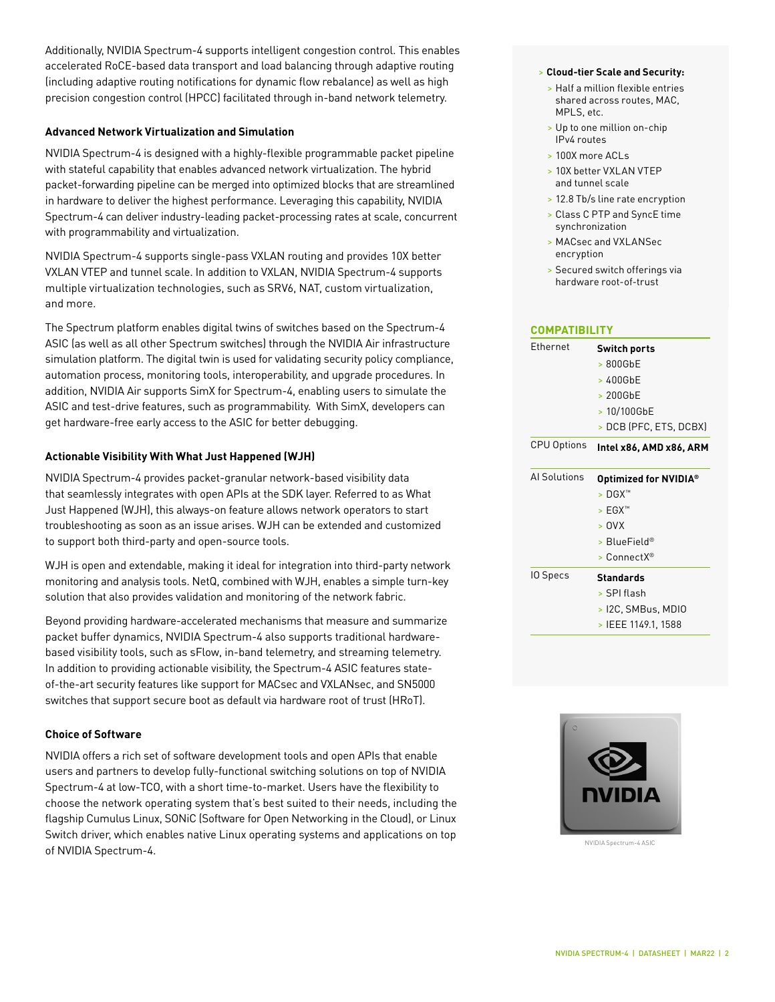Additionally, NVIDIA Spectrum-4 supports intelligent congestion control. This enables accelerated RoCE-based data transport and load balancing through adaptive routing (including adaptive routing notifications for dynamic flow rebalance) as well as high precision congestion control (HPCC) facilitated through in-band network telemetry.

#### **Advanced Network Virtualization and Simulation**

NVIDIA Spectrum-4 is designed with a highly-flexible programmable packet pipeline with stateful capability that enables advanced network virtualization. The hybrid packet-forwarding pipeline can be merged into optimized blocks that are streamlined in hardware to deliver the highest performance. Leveraging this capability, NVIDIA Spectrum-4 can deliver industry-leading packet-processing rates at scale, concurrent with programmability and virtualization.

NVIDIA Spectrum-4 supports single-pass VXLAN routing and provides 10X better VXLAN VTEP and tunnel scale. In addition to VXLAN, NVIDIA Spectrum-4 supports multiple virtualization technologies, such as SRV6, NAT, custom virtualization, and more.

The Spectrum platform enables digital twins of switches based on the Spectrum-4 ASIC (as well as all other Spectrum switches) through the NVIDIA Air infrastructure simulation platform. The digital twin is used for validating security policy compliance, automation process, monitoring tools, interoperability, and upgrade procedures. In addition, NVIDIA Air supports SimX for Spectrum-4, enabling users to simulate the ASIC and test-drive features, such as programmability. With SimX, developers can get hardware-free early access to the ASIC for better debugging.

#### **Actionable Visibility With What Just Happened (WJH)**

NVIDIA Spectrum-4 provides packet-granular network-based visibility data that seamlessly integrates with open APIs at the SDK layer. Referred to as What Just Happened (WJH), this always-on feature allows network operators to start troubleshooting as soon as an issue arises. WJH can be extended and customized to support both third-party and open-source tools.

WJH is open and extendable, making it ideal for integration into third-party network monitoring and analysis tools. NetQ, combined with WJH, enables a simple turn-key solution that also provides validation and monitoring of the network fabric.

Beyond providing hardware-accelerated mechanisms that measure and summarize packet buffer dynamics, NVIDIA Spectrum-4 also supports traditional hardwarebased visibility tools, such as sFlow, in-band telemetry, and streaming telemetry. In addition to providing actionable visibility, the Spectrum-4 ASIC features stateof-the-art security features like support for MACsec and VXLANsec, and SN5000 switches that support secure boot as default via hardware root of trust (HRoT).

### **Choice of Software**

NVIDIA offers a rich set of software development tools and open APIs that enable users and partners to develop fully-functional switching solutions on top of NVIDIA Spectrum-4 at low-TCO, with a short time-to-market. Users have the flexibility to choose the network operating system that's best suited to their needs, including the flagship Cumulus Linux, SONiC (Software for Open Networking in the Cloud), or Linux Switch driver, which enables native Linux operating systems and applications on top of NVIDIA Spectrum-4.

#### > **Cloud-tier Scale and Security:**

- > Half a million flexible entries shared across routes, MAC, MPLS, etc.
- > Up to one million on-chip IPv4 routes
- > 100X more ACLs
- > 10X better VXLAN VTEP and tunnel scale
- > 12.8 Tb/s line rate encryption
- > Class C PTP and SyncE time synchronization
- > MACsec and VXLANSec encryption
- > Secured switch offerings via hardware root-of-trust

| Ethernet           | <b>Switch ports</b>               |
|--------------------|-----------------------------------|
|                    | $>800$ GbE                        |
|                    | > 400GbE                          |
|                    | $>200$ GbE                        |
|                    | > 10/100GbE                       |
|                    | > DCB (PFC, ETS, DCBX)            |
| <b>CPU Options</b> | Intel x86, AMD x86, ARM           |
| Al Solutions       | Optimized for NVIDIA <sup>®</sup> |
|                    | $>$ DGX <sup><math>m</math></sup> |
|                    | > EGX™                            |
|                    | >0VX                              |
|                    | > BlueField®                      |
|                    | $>$ Connect $X^{\circledR}$       |
| IO Specs           | <b>Standards</b>                  |
|                    |                                   |
|                    | > SPI flash                       |
|                    | > I2C, SMBus, MDIO                |